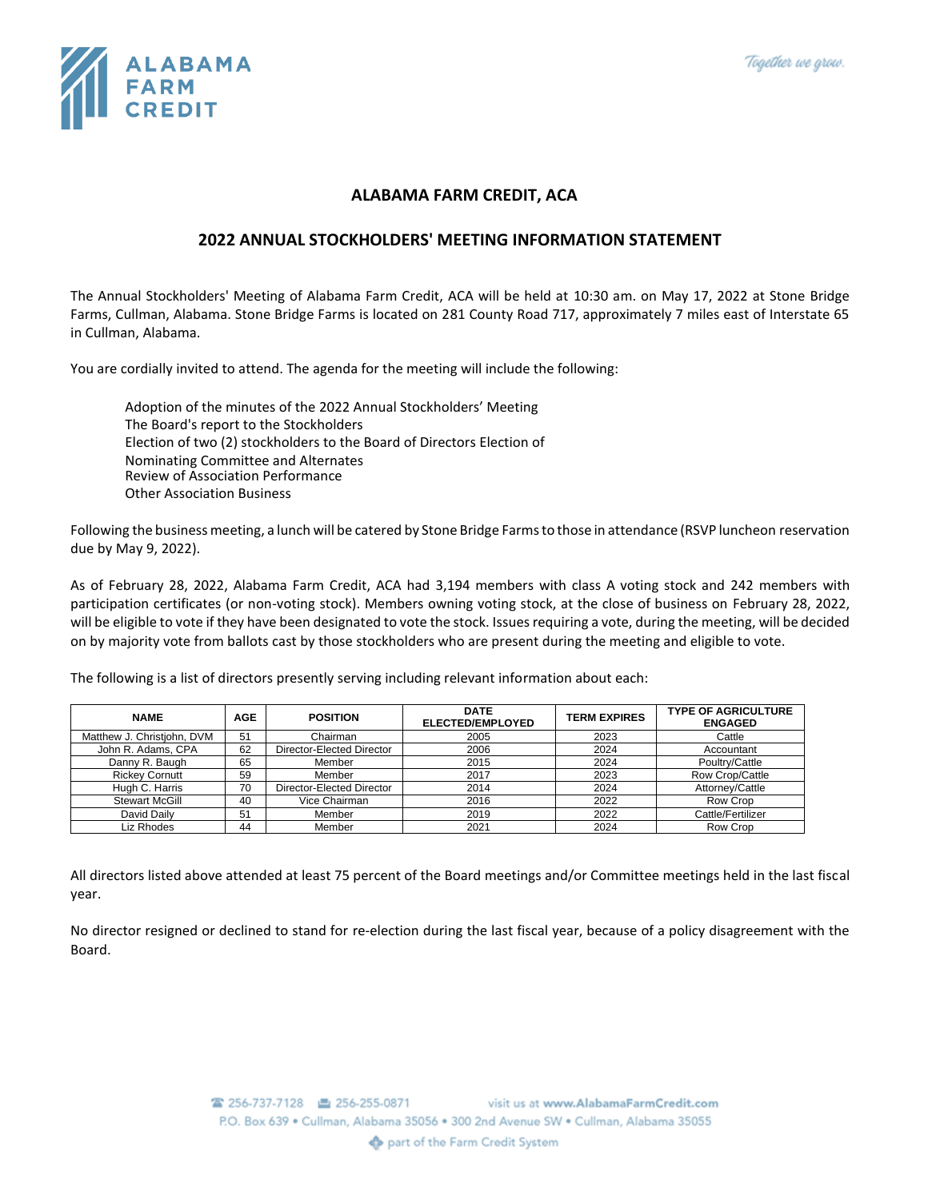

## **ALABAMA FARM CREDIT, ACA**

## **2022 ANNUAL STOCKHOLDERS' MEETING INFORMATION STATEMENT**

The Annual Stockholders' Meeting of Alabama Farm Credit, ACA will be held at 10:30 am. on May 17, 2022 at Stone Bridge Farms, Cullman, Alabama. Stone Bridge Farms is located on 281 County Road 717, approximately 7 miles east of Interstate 65 in Cullman, Alabama.

You are cordially invited to attend. The agenda for the meeting will include the following:

Adoption of the minutes of the 2022 Annual Stockholders' Meeting The Board's report to the Stockholders Election of two (2) stockholders to the Board of Directors Election of Nominating Committee and Alternates Review of Association Performance Other Association Business

Following the business meeting, a lunch will be catered by Stone Bridge Farmsto those in attendance (RSVP luncheon reservation due by May 9, 2022).

As of February 28, 2022, Alabama Farm Credit, ACA had 3,194 members with class A voting stock and 242 members with participation certificates (or non-voting stock). Members owning voting stock, at the close of business on February 28, 2022, will be eligible to vote if they have been designated to vote the stock. Issues requiring a vote, during the meeting, will be decided on by majority vote from ballots cast by those stockholders who are present during the meeting and eligible to vote.

The following is a list of directors presently serving including relevant information about each:

| <b>NAME</b>                | <b>AGE</b> | <b>POSITION</b>           | <b>DATE</b><br>ELECTED/EMPLOYED | <b>TERM EXPIRES</b> | <b>TYPE OF AGRICULTURE</b><br><b>ENGAGED</b> |
|----------------------------|------------|---------------------------|---------------------------------|---------------------|----------------------------------------------|
| Matthew J. Christiohn, DVM | 51         | Chairman                  | 2005                            | 2023                | Cattle                                       |
| John R. Adams, CPA         | 62         | Director-Elected Director | 2006                            | 2024                | Accountant                                   |
| Danny R. Baugh             | 65         | Member                    | 2015                            | 2024                | Poultry/Cattle                               |
| <b>Rickey Cornutt</b>      | 59         | Member                    | 2017                            | 2023                | Row Crop/Cattle                              |
| Hugh C. Harris             | 70         | Director-Elected Director | 2014                            | 2024                | Attorney/Cattle                              |
| <b>Stewart McGill</b>      | 40         | Vice Chairman             | 2016                            | 2022                | Row Crop                                     |
| David Daily                | 51         | Member                    | 2019                            | 2022                | Cattle/Fertilizer                            |
| Liz Rhodes                 | 44         | Member                    | 2021                            | 2024                | Row Crop                                     |

All directors listed above attended at least 75 percent of the Board meetings and/or Committee meetings held in the last fiscal year.

No director resigned or declined to stand for re-election during the last fiscal year, because of a policy disagreement with the Board.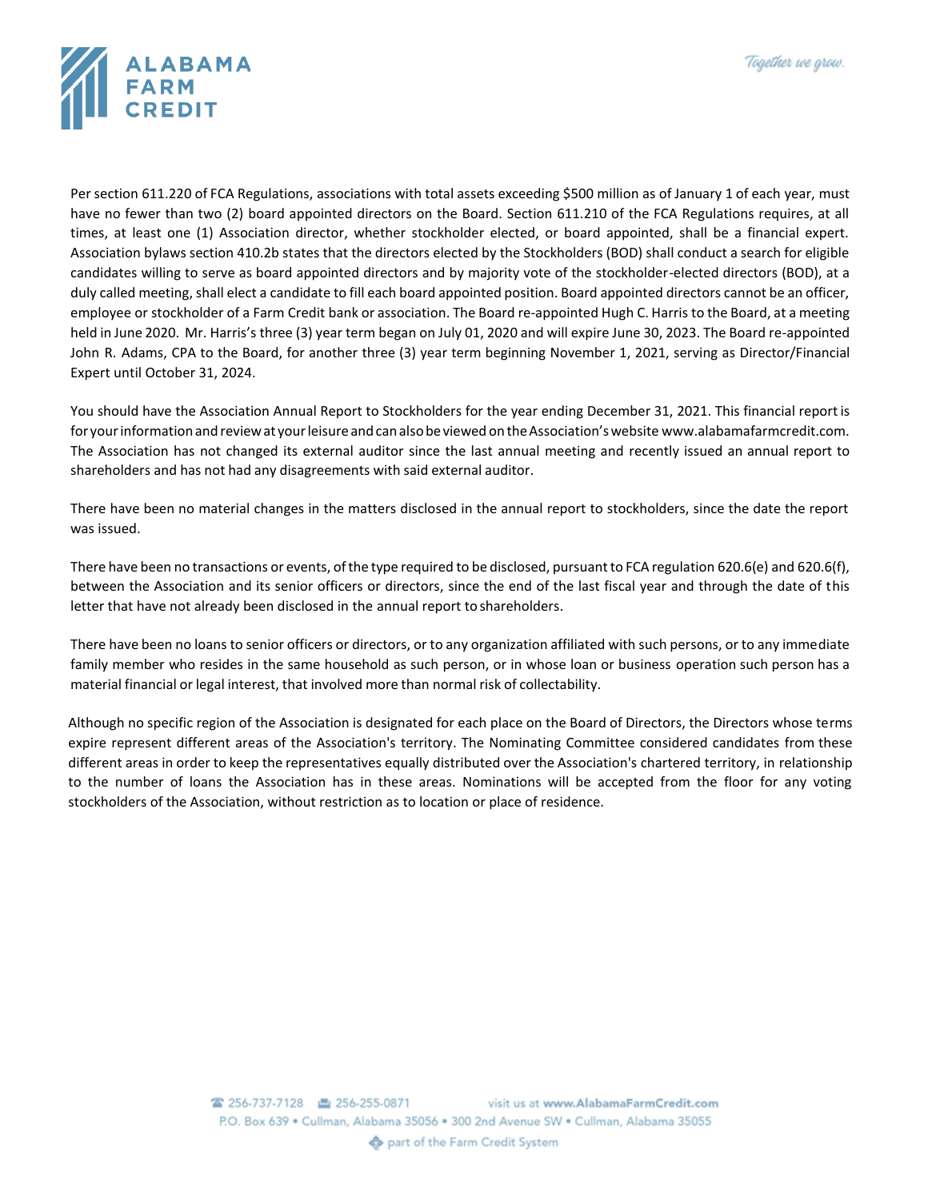

Per section 611.220 of FCA Regulations, associations with total assets exceeding \$500 million as of January 1 of each year, must have no fewer than two (2) board appointed directors on the Board. Section 611.210 of the FCA Regulations requires, at all times, at least one (1) Association director, whether stockholder elected, or board appointed, shall be a financial expert. Association bylaws section 410.2b states that the directors elected by the Stockholders (BOD) shall conduct a search for eligible candidates willing to serve as board appointed directors and by majority vote of the stockholder-elected directors (BOD), at a duly called meeting, shall elect a candidate to fill each board appointed position. Board appointed directors cannot be an officer, employee or stockholder of a Farm Credit bank or association. The Board re-appointed Hugh C. Harris to the Board, at a meeting held in June 2020. Mr. Harris's three (3) year term began on July 01, 2020 and will expire June 30, 2023. The Board re-appointed John R. Adams, CPA to the Board, for another three (3) year term beginning November 1, 2021, serving as Director/Financial Expert until October 31, 2024.

You should have the Association Annual Report to Stockholders for the year ending December 31, 2021. This financial report is for your information and review at your leisure and can also be viewed on the Association's website www.alabamafarmcredit.com. The Association has not changed its external auditor since the last annual meeting and recently issued an annual report to shareholders and has not had any disagreements with said external auditor.

There have been no material changes in the matters disclosed in the annual report to stockholders, since the date the report was issued.

There have been no transactions or events, ofthe type required to be disclosed, pursuantto FCA regulation 620.6(e) and 620.6(f), between the Association and its senior officers or directors, since the end of the last fiscal year and through the date of this letter that have not already been disclosed in the annual report to shareholders.

There have been no loans to senior officers or directors, or to any organization affiliated with such persons, or to any immediate family member who resides in the same household as such person, or in whose loan or business operation such person has a material financial or legal interest, that involved more than normal risk of collectability.

Although no specific region of the Association is designated for each place on the Board of Directors, the Directors whose terms expire represent different areas of the Association's territory. The Nominating Committee considered candidates from these different areas in order to keep the representatives equally distributed over the Association's chartered territory, in relationship to the number of loans the Association has in these areas. Nominations will be accepted from the floor for any voting stockholders of the Association, without restriction as to location or place of residence.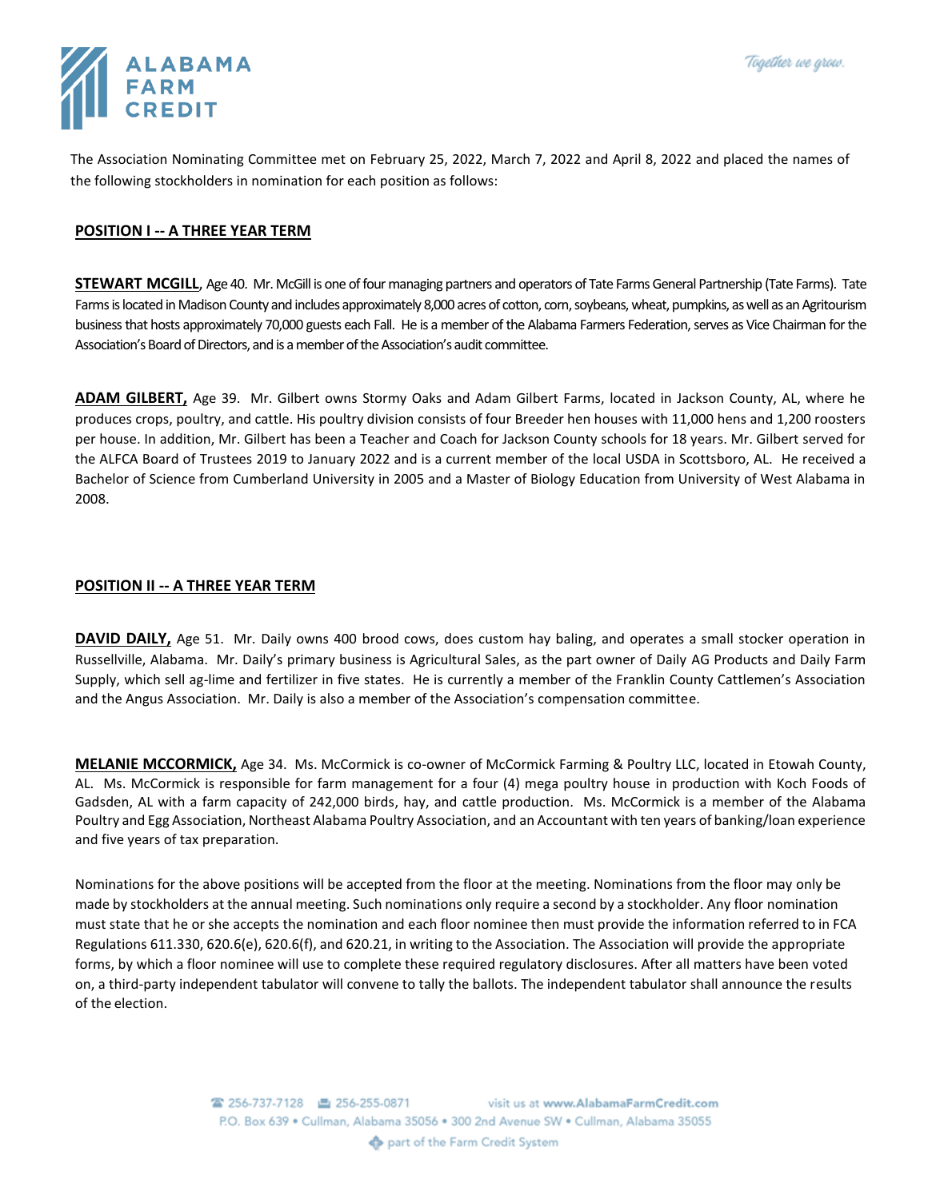

The Association Nominating Committee met on February 25, 2022, March 7, 2022 and April 8, 2022 and placed the names of the following stockholders in nomination for each position as follows:

## **POSITION I -- A THREE YEAR TERM**

**STEWART MCGILL**, Age 40. Mr. McGill is one of four managing partners and operators of Tate Farms General Partnership (Tate Farms). Tate Farms is located in Madison County and includes approximately 8,000 acres of cotton, corn, soybeans, wheat, pumpkins, as well as an Agritourism business that hosts approximately 70,000 guests each Fall. He is a member of the Alabama Farmers Federation, serves as Vice Chairman for the Association's Board of Directors, and is a member of the Association's audit committee.

**ADAM GILBERT,** Age 39. Mr. Gilbert owns Stormy Oaks and Adam Gilbert Farms, located in Jackson County, AL, where he produces crops, poultry, and cattle. His poultry division consists of four Breeder hen houses with 11,000 hens and 1,200 roosters per house. In addition, Mr. Gilbert has been a Teacher and Coach for Jackson County schools for 18 years. Mr. Gilbert served for the ALFCA Board of Trustees 2019 to January 2022 and is a current member of the local USDA in Scottsboro, AL. He received a Bachelor of Science from Cumberland University in 2005 and a Master of Biology Education from University of West Alabama in 2008.

## **POSITION II -- A THREE YEAR TERM**

**DAVID DAILY,** Age 51. Mr. Daily owns 400 brood cows, does custom hay baling, and operates a small stocker operation in Russellville, Alabama. Mr. Daily's primary business is Agricultural Sales, as the part owner of Daily AG Products and Daily Farm Supply, which sell ag-lime and fertilizer in five states. He is currently a member of the Franklin County Cattlemen's Association and the Angus Association. Mr. Daily is also a member of the Association's compensation committee.

**MELANIE MCCORMICK,** Age 34. Ms. McCormick is co-owner of McCormick Farming & Poultry LLC, located in Etowah County, AL. Ms. McCormick is responsible for farm management for a four (4) mega poultry house in production with Koch Foods of Gadsden, AL with a farm capacity of 242,000 birds, hay, and cattle production. Ms. McCormick is a member of the Alabama Poultry and Egg Association, Northeast Alabama Poultry Association, and an Accountant with ten years of banking/loan experience and five years of tax preparation.

Nominations for the above positions will be accepted from the floor at the meeting. Nominations from the floor may only be made by stockholders at the annual meeting. Such nominations only require a second by a stockholder. Any floor nomination must state that he or she accepts the nomination and each floor nominee then must provide the information referred to in FCA Regulations 611.330, 620.6(e), 620.6(f), and 620.21, in writing to the Association. The Association will provide the appropriate forms, by which a floor nominee will use to complete these required regulatory disclosures. After all matters have been voted on, a third-party independent tabulator will convene to tally the ballots. The independent tabulator shall announce the results of the election.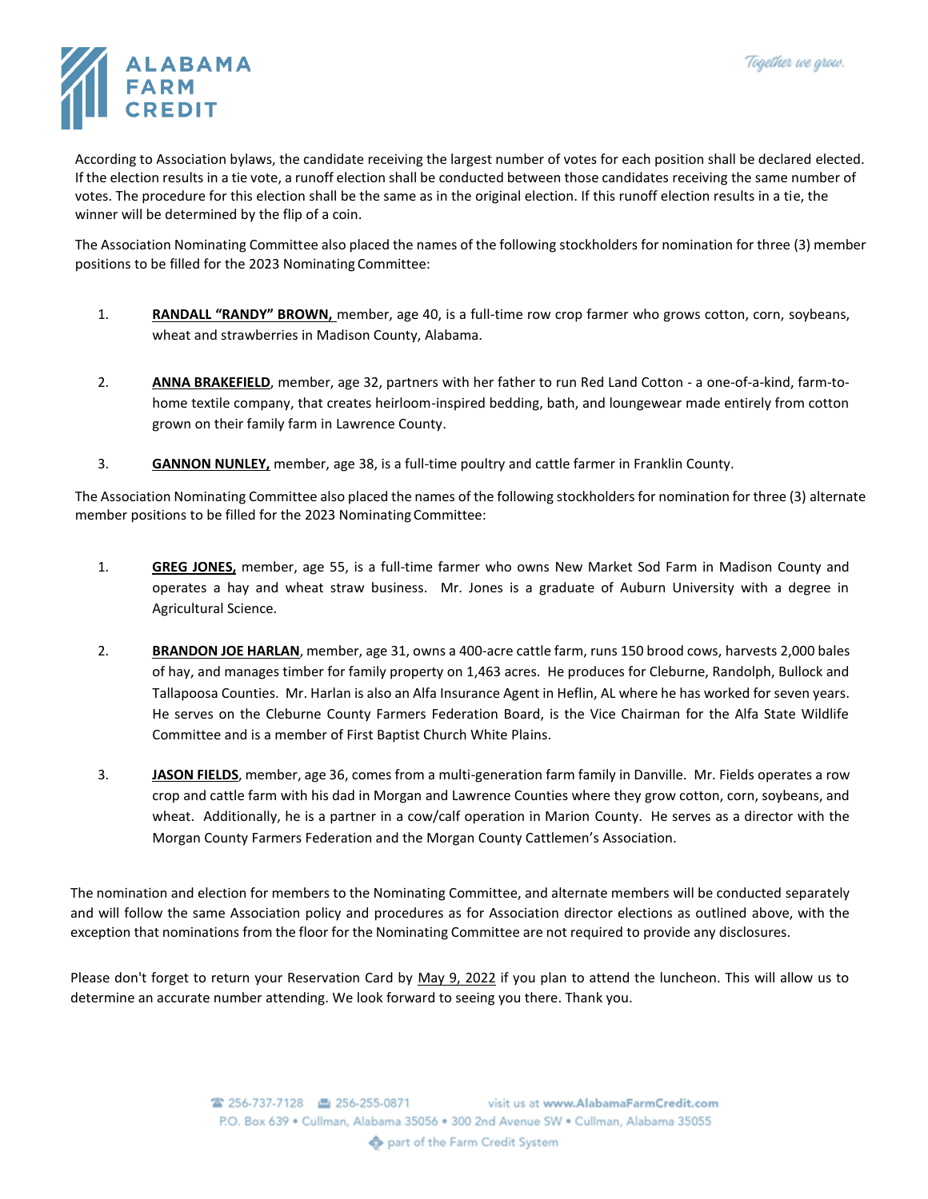

According to Association bylaws, the candidate receiving the largest number of votes for each position shall be declared elected. If the election results in a tie vote, a runoff election shall be conducted between those candidates receiving the same number of votes. The procedure for this election shall be the same as in the original election. If this runoff election results in a tie, the winner will be determined by the flip of a coin.

The Association Nominating Committee also placed the names of the following stockholders for nomination for three (3) member positions to be filled for the 2023 Nominating Committee:

- 1. **RANDALL "RANDY" BROWN,** member, age 40, is a full-time row crop farmer who grows cotton, corn, soybeans, wheat and strawberries in Madison County, Alabama.
- 2. **ANNA BRAKEFIELD**, member, age 32, partners with her father to run Red Land Cotton a one-of-a-kind, farm-tohome textile company, that creates heirloom-inspired bedding, bath, and loungewear made entirely from cotton grown on their family farm in Lawrence County.
- 3. **GANNON NUNLEY,** member, age 38, is a full-time poultry and cattle farmer in Franklin County.

The Association Nominating Committee also placed the names of the following stockholders for nomination for three (3) alternate member positions to be filled for the 2023 Nominating Committee:

- 1. **GREG JONES,** member, age 55, is a full-time farmer who owns New Market Sod Farm in Madison County and operates a hay and wheat straw business. Mr. Jones is a graduate of Auburn University with a degree in Agricultural Science.
- 2. **BRANDON JOE HARLAN**, member, age 31, owns a 400-acre cattle farm, runs 150 brood cows, harvests 2,000 bales of hay, and manages timber for family property on 1,463 acres. He produces for Cleburne, Randolph, Bullock and Tallapoosa Counties. Mr. Harlan is also an Alfa Insurance Agent in Heflin, AL where he has worked for seven years. He serves on the Cleburne County Farmers Federation Board, is the Vice Chairman for the Alfa State Wildlife Committee and is a member of First Baptist Church White Plains.
- 3. **JASON FIELDS**, member, age 36, comes from a multi-generation farm family in Danville. Mr. Fields operates a row crop and cattle farm with his dad in Morgan and Lawrence Counties where they grow cotton, corn, soybeans, and wheat. Additionally, he is a partner in a cow/calf operation in Marion County. He serves as a director with the Morgan County Farmers Federation and the Morgan County Cattlemen's Association.

The nomination and election for members to the Nominating Committee, and alternate members will be conducted separately and will follow the same Association policy and procedures as for Association director elections as outlined above, with the exception that nominations from the floor for the Nominating Committee are not required to provide any disclosures.

Please don't forget to return your Reservation Card by May 9, 2022 if you plan to attend the luncheon. This will allow us to determine an accurate number attending. We look forward to seeing you there. Thank you.